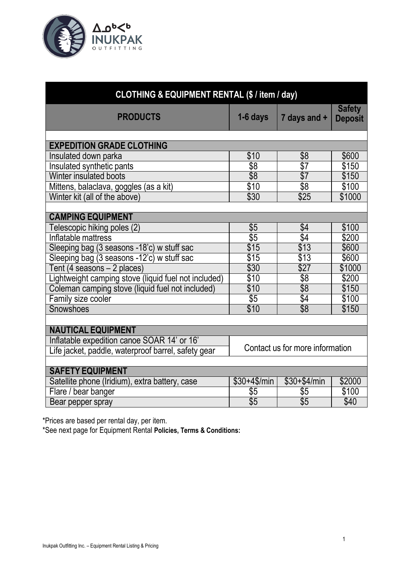

| CLOTHING & EQUIPMENT RENTAL (\$ / item / day)        |                                 |                         |                                 |
|------------------------------------------------------|---------------------------------|-------------------------|---------------------------------|
| <b>PRODUCTS</b>                                      | 1-6 days                        | 7 days and +            | <b>Safety</b><br><b>Deposit</b> |
| <b>EXPEDITION GRADE CLOTHING</b>                     |                                 |                         |                                 |
| Insulated down parka                                 | \$10                            | \$8                     | \$600                           |
| Insulated synthetic pants                            | $\overline{\$8}$                | \$7                     | \$150                           |
| Winter insulated boots                               | $\overline{\$8}$                | $\sqrt{$7}$             | \$150                           |
| Mittens, balaclava, goggles (as a kit)               | \$10                            | $\overline{\$8}$        | \$100                           |
| Winter kit (all of the above)                        | \$30                            | \$25                    | \$1000                          |
|                                                      |                                 |                         |                                 |
| <b>CAMPING EQUIPMENT</b>                             |                                 |                         |                                 |
| Telescopic hiking poles (2)                          | \$5                             | \$4                     | \$100                           |
| Inflatable mattress                                  | $\overline{\$5}$                | \$4                     | \$200                           |
| Sleeping bag (3 seasons -18'c) w stuff sac           | \$15                            | \$13                    | \$600                           |
| Sleeping bag (3 seasons -12'c) w stuff sac           | \$15                            | \$13                    | \$600                           |
| Tent (4 seasons - 2 places)                          | \$30                            | \$27                    | \$1000                          |
| Lightweight camping stove (liquid fuel not included) | \$10                            | $\sqrt[6]{8}$           | \$200                           |
| Coleman camping stove (liquid fuel not included)     | \$10                            | $\sqrt[6]{8}$           | \$150                           |
| Family size cooler                                   | $\sqrt[6]{5}$                   | $\sqrt[6]{4}$           | \$100                           |
| Snowshoes                                            | \$10                            | \$8                     | \$150                           |
|                                                      |                                 |                         |                                 |
| <b>NAUTICAL EQUIPMENT</b>                            |                                 |                         |                                 |
| Inflatable expedition canoe SOAR 14' or 16'          | Contact us for more information |                         |                                 |
| Life jacket, paddle, waterproof barrel, safety gear  |                                 |                         |                                 |
|                                                      |                                 |                         |                                 |
| <b>SAFETY EQUIPMENT</b>                              |                                 |                         |                                 |
| Satellite phone (Iridium), extra battery, case       | $$30+4$/min$                    | $$30+$4/min$            | \$2000                          |
| Flare / bear banger                                  | \$5                             | \$5<br>$\overline{\$5}$ | \$100                           |
| Bear pepper spray                                    | $\overline{\$5}$                |                         | \$40                            |

\*Prices are based per rental day, per item.

\*See next page for Equipment Rental **Policies, Terms & Conditions:**